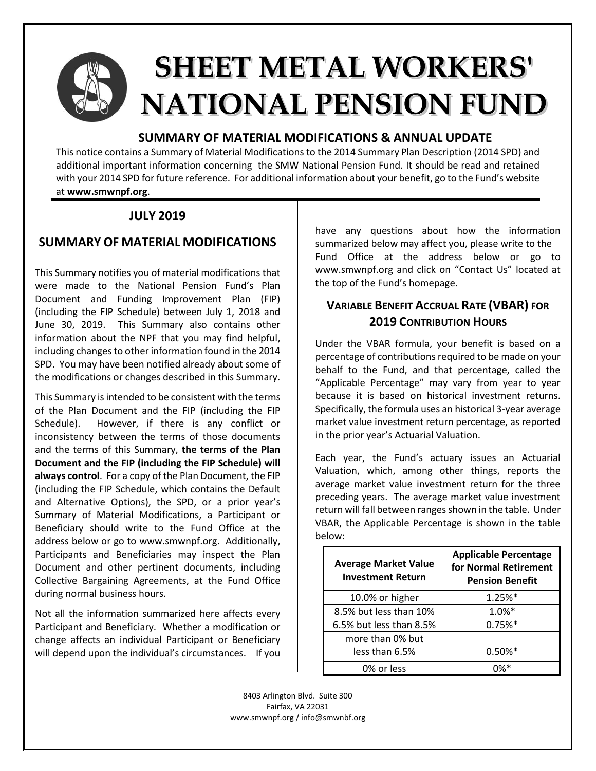

# **SHEET METAL WORKERS' NATIONAL PENSION FUND**

### **SUMMARY OF MATERIAL MODIFICATIONS & ANNUAL UPDATE**

This notice contains a Summary of Material Modifications to the 2014 Summary Plan Description (2014 SPD) and additional important information concerning the SMW National Pension Fund. It should be read and retained with your 2014 SPD for future reference. For additional information about your benefit, go to the Fund's website at **www.smwnpf.org**.

## **JULY 2019**

## **SUMMARY OF MATERIAL MODIFICATIONS**

This Summary notifies you of material modifications that were made to the National Pension Fund's Plan Document and Funding Improvement Plan (FIP) (including the FIP Schedule) between July 1, 2018 and June 30, 2019. This Summary also contains other information about the NPF that you may find helpful, including changes to other information found in the 2014 SPD. You may have been notified already about some of the modifications or changes described in this Summary.

This Summary is intended to be consistent with the terms of the Plan Document and the FIP (including the FIP Schedule). However, if there is any conflict or inconsistency between the terms of those documents and the terms of this Summary, **the terms of the Plan Document and the FIP (including the FIP Schedule) will always control**. For a copy of the Plan Document, the FIP (including the FIP Schedule, which contains the Default and Alternative Options), the SPD, or a prior year's Summary of Material Modifications, a Participant or Beneficiary should write to the Fund Office at the address below or go to www.smwnpf.org. Additionally, Participants and Beneficiaries may inspect the Plan Document and other pertinent documents, including Collective Bargaining Agreements, at the Fund Office during normal business hours.

Not all the information summarized here affects every Participant and Beneficiary. Whether a modification or change affects an individual Participant or Beneficiary will depend upon the individual's circumstances. If you

have any questions about how the information summarized below may affect you, please write to the Fund Office at the address below or go to www.smwnpf.org and click on "Contact Us" located at the top of the Fund's homepage.

## **VARIABLE BENEFIT ACCRUAL RATE (VBAR) FOR 2019 CONTRIBUTION HOURS**

Under the VBAR formula, your benefit is based on a percentage of contributions required to be made on your behalf to the Fund, and that percentage, called the "Applicable Percentage" may vary from year to year because it is based on historical investment returns. Specifically, the formula uses an historical 3-year average market value investment return percentage, as reported in the prior year's Actuarial Valuation.

Each year, the Fund's actuary issues an Actuarial Valuation, which, among other things, reports the average market value investment return for the three preceding years. The average market value investment return will fall between ranges shown in the table. Under VBAR, the Applicable Percentage is shown in the table below:

| <b>Average Market Value</b><br><b>Investment Return</b> | <b>Applicable Percentage</b><br>for Normal Retirement<br><b>Pension Benefit</b> |  |
|---------------------------------------------------------|---------------------------------------------------------------------------------|--|
| 10.0% or higher                                         | $1.25%$ *                                                                       |  |
| 8.5% but less than 10%                                  | $1.0\%*$                                                                        |  |
| 6.5% but less than 8.5%                                 | 0.75%                                                                           |  |
| more than 0% but                                        |                                                                                 |  |
| less than 6.5%                                          | $0.50\%$ <sup>*</sup>                                                           |  |
| 0% or less                                              |                                                                                 |  |

8403 Arlington Blvd. Suite 300 Fairfax, VA 22031 www.smwnpf.org / info@smwnbf.org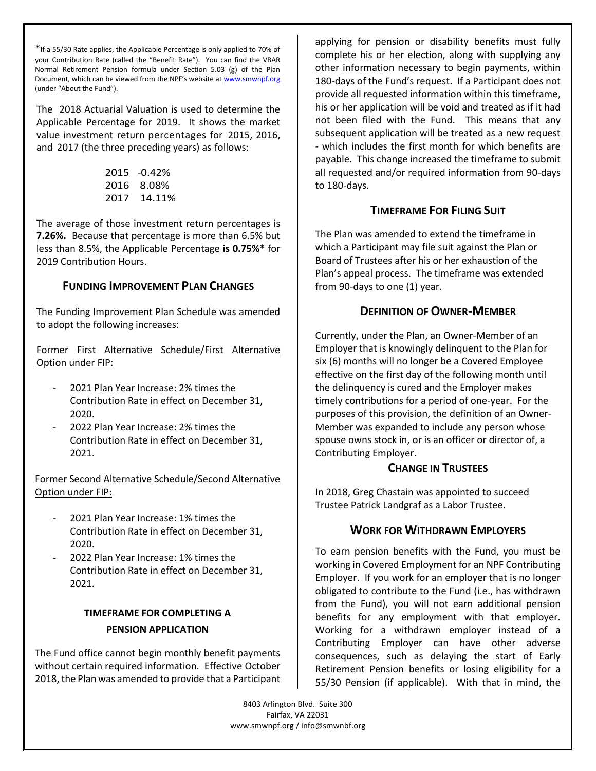\*If a 55/30 Rate applies, the Applicable Percentage is only applied to 70% of your Contribution Rate (called the "Benefit Rate"). You can find the VBAR Normal Retirement Pension formula under Section 5.03 (g) of the Plan Document, which can be viewed from the NPF's website at www.smwnpf.org (under "About the Fund").

The 2018 Actuarial Valuation is used to determine the Applicable Percentage for 2019. It shows the market value investment return percentages for 2015, 2016, and 2017 (the three preceding years) as follows:

| 2015 | -0.42% |
|------|--------|
| 2016 | 8.08%  |
| 2017 | 14.11% |

The average of those investment return percentages is **7.26%.** Because that percentage is more than 6.5% but less than 8.5%, the Applicable Percentage **is 0.75%\*** for 2019 Contribution Hours.

#### **FUNDING IMPROVEMENT PLAN CHANGES**

The Funding Improvement Plan Schedule was amended to adopt the following increases:

Former First Alternative Schedule/First Alternative Option under FIP:

- 2021 Plan Year Increase: 2% times the Contribution Rate in effect on December 31, 2020.
- 2022 Plan Year Increase: 2% times the Contribution Rate in effect on December 31, 2021.

Former Second Alternative Schedule/Second Alternative Option under FIP:

- 2021 Plan Year Increase: 1% times the Contribution Rate in effect on December 31, 2020.
- 2022 Plan Year Increase: 1% times the Contribution Rate in effect on December 31, 2021.

#### **TIMEFRAME FOR COMPLETING A PENSION APPLICATION**

The Fund office cannot begin monthly benefit payments without certain required information. Effective October 2018, the Plan was amended to provide that a Participant

applying for pension or disability benefits must fully complete his or her election, along with supplying any other information necessary to begin payments, within 180-days of the Fund's request. If a Participant does not provide all requested information within this timeframe, his or her application will be void and treated as if it had not been filed with the Fund. This means that any subsequent application will be treated as a new request - which includes the first month for which benefits are payable. This change increased the timeframe to submit all requested and/or required information from 90-days to 180-days.

#### **TIMEFRAME FOR FILING SUIT**

The Plan was amended to extend the timeframe in which a Participant may file suit against the Plan or Board of Trustees after his or her exhaustion of the Plan's appeal process. The timeframe was extended from 90-days to one (1) year.

#### **DEFINITION OF OWNER-MEMBER**

Currently, under the Plan, an Owner-Member of an Employer that is knowingly delinquent to the Plan for six (6) months will no longer be a Covered Employee effective on the first day of the following month until the delinquency is cured and the Employer makes timely contributions for a period of one-year. For the purposes of this provision, the definition of an Owner-Member was expanded to include any person whose spouse owns stock in, or is an officer or director of, a Contributing Employer.

#### **CHANGE IN TRUSTEES**

In 2018, Greg Chastain was appointed to succeed Trustee Patrick Landgraf as a Labor Trustee.

#### **WORK FOR WITHDRAWN EMPLOYERS**

To earn pension benefits with the Fund, you must be working in Covered Employment for an NPF Contributing Employer. If you work for an employer that is no longer obligated to contribute to the Fund (i.e., has withdrawn from the Fund), you will not earn additional pension benefits for any employment with that employer. Working for a withdrawn employer instead of a Contributing Employer can have other adverse consequences, such as delaying the start of Early Retirement Pension benefits or losing eligibility for a 55/30 Pension (if applicable). With that in mind, the

8403 Arlington Blvd. Suite 300 Fairfax, VA 22031 www.smwnpf.org / info@smwnbf.org